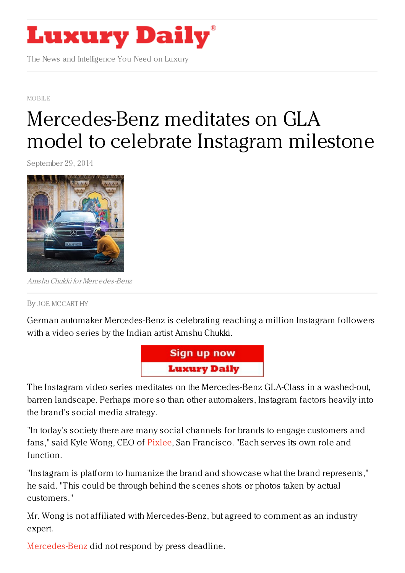

The News and Intelligence You Need on Luxury

MOBILE

# [Mercedes-Benz](https://www.luxurydaily.com/mercedes-benz-meditates-on-gla-model-to-celebrate-instagram-milestone/) meditates on GLA model to celebrate Instagram milestone

September 29, 2014



AmshuChukki for Mercedes-Benz

#### By JOE [MCCART](/author/joe-mccarthy) HY

German automaker Mercedes-Benz is celebrating reaching a million Instagram followers with a video series by the Indian artist Amshu Chukki.



The Instagram video series meditates on the Mercedes-Benz GLA-Class in a washed-out, barren landscape. Perhaps more so than other automakers, Instagram factors heavily into the brand's social media strategy.

"In today's society there are many social channels for brands to engage customers and fans," said Kyle Wong, CEO of [Pixlee](https://www.pixlee.com/), San Francisco. "Each serves its own role and function.

"Instagram is platform to humanize the brand and showcase what the brand represents," he said. "This could be through behind the scenes shots or photos taken by actual customers."

Mr. Wong is not affiliated with Mercedes-Benz, but agreed to comment as an industry expert.

[Mercedes-Benz](http://www.mbusa.com/mercedes/index) did not respond by press deadline.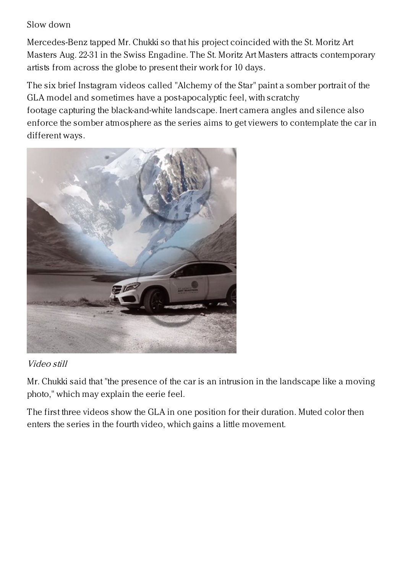### Slow down

Mercedes-Benz tapped Mr. Chukki so that his project coincided with the St. Moritz Art Masters Aug. 22-31 in the Swiss Engadine. The St. Moritz Art Masters attracts contemporary artists from across the globe to present their work for 10 days.

The six brief Instagram videos called "Alchemy of the Star" paint a somber portrait of the GLA model and sometimes have a post-apocalyptic feel, with scratchy footage capturing the black-and-white landscape. Inert camera angles and silence also enforce the somber atmosphere as the series aims to get viewers to contemplate the car in different ways.



# Video still

Mr. Chukki said that "the presence of the car is an intrusion in the landscape like a moving photo," which may explain the eerie feel.

The first three videos show the GLA in one position for their duration. Muted color then enters the series in the fourth video, which gains a little movement.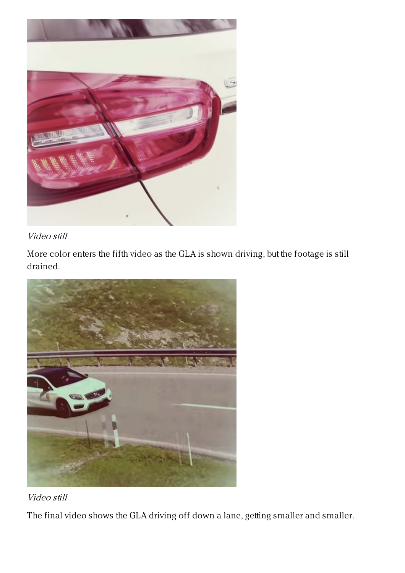

### Video still

More color enters the fifth video as the GLA is shown driving, but the footage is still drained.





The final video shows the GLA driving off down a lane, getting smaller and smaller.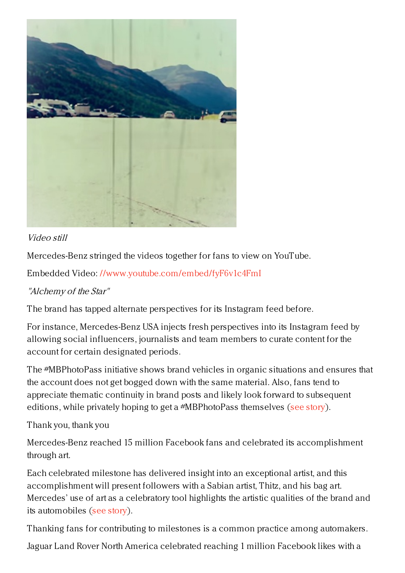

### Video still

Mercedes-Benz stringed the videos together for fans to view on YouTube.

Embedded Video: <//www.youtube.com/embed/fyF6v1c4FmI>

## "Alchemy of the Star"

The brand has tapped alternate perspectives for its Instagram feed before.

For instance, Mercedes-Benz USA injects fresh perspectives into its Instagram feed by allowing social influencers, journalists and team members to curate content for the account for certain designated periods.

The #MBPhotoPass initiative shows brand vehicles in organic situations and ensures that the account does not get bogged down with the same material. Also, fans tend to appreciate thematic continuity in brand posts and likely look forward to subsequent editions, while privately hoping to get a #MBPhotoPass themselves (see [story](https://www.luxurydaily.com/mercedes-benz-hands-off-instagram-control-with-photo-passes/)).

# Thank you, thank you

Mercedes-Benz reached 15 million Facebook fans and celebrated its accomplishment through art.

Each celebrated milestone has delivered insight into an exceptional artist, and this accomplishment will present followers with a Sabian artist, Thitz, and his bag art. Mercedes' use of art as a celebratory tool highlights the artistic qualities of the brand and its automobiles (see [story](https://www.luxurydaily.com/mercedes-benz-celebrates-15-million-facebook-fans-through-art/)).

Thanking fans for contributing to milestones is a common practice among automakers.

Jaguar Land Rover North America celebrated reaching 1 million Facebook likes with a